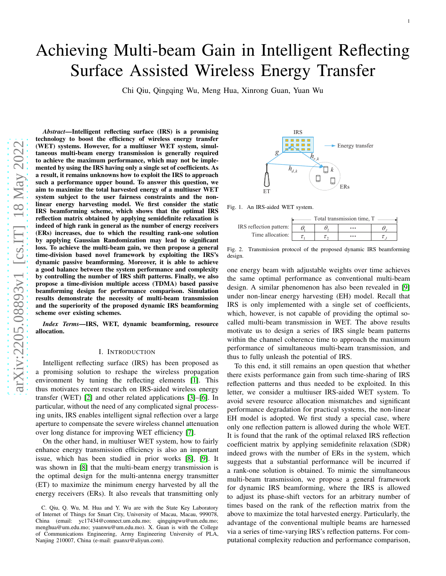# Achieving Multi-beam Gain in Intelligent Reflecting Surface Assisted Wireless Energy Transfer

Chi Qiu, Qingqing Wu, Meng Hua, Xinrong Guan, Yuan Wu

*Abstract*—Intelligent reflecting surface (IRS) is a promising technology to boost the efficiency of wireless energy transfer (WET) systems. However, for a multiuser WET system, simultaneous multi-beam energy transmission is generally required to achieve the maximum performance, which may not be implemented by using the IRS having only a single set of coefficients. As a result, it remains unknowns how to exploit the IRS to approach such a performance upper bound. To answer this question, we aim to maximize the total harvested energy of a multiuser WET system subject to the user fairness constraints and the nonlinear energy harvesting model. We first consider the static IRS beamforming scheme, which shows that the optimal IRS reflection matrix obtained by applying semidefinite relaxation is indeed of high rank in general as the number of energy receivers (ERs) increases, due to which the resulting rank-one solution by applying Gaussian Randomization may lead to significant loss. To achieve the multi-beam gain, we then propose a general time-division based novel framework by exploiting the IRS' s dynamic passive beamforming. Moreover, it is able to achiev e a good balance between the system performance and complexity by controlling the number of IRS shift patterns. Finally, we also propose a time-division multiple access (TDMA) based passive beamforming design for performance comparison. Simulatio n results demonstrate the necessity of multi-beam transmission and the superiority of the proposed dynamic IRS beamforming scheme over existing schemes.

*Index Terms*—IRS, WET, dynamic beamforming, resource allocation.

## I. INTRODUCTION

Intelligent reflecting surface (IRS) has been proposed as a promising solution to reshape the wireless propagation environment by tuning the reflecting elements [\[1\]](#page-4-0). This thus motivates recent research on IRS-aided wireless energ y transfer (WET) [\[2\]](#page-4-1) and other related applications [\[3\]](#page-4-2)–[\[6\]](#page-4-3). In particular, without the need of any complicated signal processing units, IRS enables intelligent signal reflection over a large aperture to compensate the severe wireless channel attenuation over long distance for improving WET efficiency [\[7\]](#page-4-4).

On the other hand, in multiuser WET system, how to fairly enhance energy transmission efficiency is also an important issue, which has been studied in prior works [\[8\]](#page-4-5), [\[9\]](#page-4-6). It was shown in [\[8\]](#page-4-5) that the multi-beam energy transmission is the optimal design for the multi-antenna energy transmitte r (ET) to maximize the minimum energy harvested by all the energy receivers (ERs). It also reveals that transmitting only



Fig. 1. An IRS-aided WET system.

<span id="page-0-0"></span>

|                         | Total transmission time. T |  |           |  |
|-------------------------|----------------------------|--|-----------|--|
| IRS reflection pattern: |                            |  | $\cdots$  |  |
| Time allocation:        |                            |  | $\ddotsc$ |  |

<span id="page-0-1"></span>Fig. 2. Transmission protocol  $\overline{c}$  the proposed dynamic IRS beamforming design.

one energy beam with adjustable weights over time achieves the same optimal performance as conventional multi-beam design. A similar phenomenon has also been revealed in [\[9\]](#page-4-6) under non-linear energy harvesting (EH) model. Recall that IRS is only implemented with a single set of coefficients, which, however, is not capable of providing the optimal socalled multi-beam transmission in WET. The above results motivate us to design a series of IRS single beam patterns within the channel coherence time to approach the maximum performance of simultaneous multi-beam transmission, and thus to fully unleash the potential of IRS.

To this end, it still remains an open question that whether there exists performance gain from such time-sharing of IRS reflection patterns and thus needed to be exploited. In this letter, we consider a multiuser IRS-aided WET system. To avoid severe resource allocation mismatches and significan t performance degradation for practical systems, the non-linear EH model is adopted. We first study a special case, where only one reflection pattern is allowed during the whole WET. It is found that the rank of the optimal relaxed IRS reflection coefficient matrix by applying semidefinite relaxation (SDR ) indeed grows with the number of ERs in the system, which suggests that a substantial performance will be incurred if a rank-one solution is obtained. To mimic the simultaneous multi-beam transmission, we propose a general framework for dynamic IRS beamforming, where the IRS is allowed to adjust its phase-shift vectors for an arbitrary number of times based on the rank of the reflection matrix from the above to maximize the total harvested energy. Particularly, the advantage of the conventional multiple beams are harnessed via a series of time-varying IRS's reflection patterns. For computational complexity reduction and performance comparison,

C. Qiu, Q. Wu, M. Hua and Y. Wu are with the State Key Laboratory of Internet of Things for Smart City, University of Macau, Macau, 999078, China (email: yc17434@connect.um.edu.mo; qingqingwu@um.edu.mo; menghua@um.edu.mo; yuanwu@um.edu.mo). X. Guan is with the College of Communications Engineering, Army Engineering University of PLA, Nanjing 210007, China (e-mail: guanxr@aliyun.com).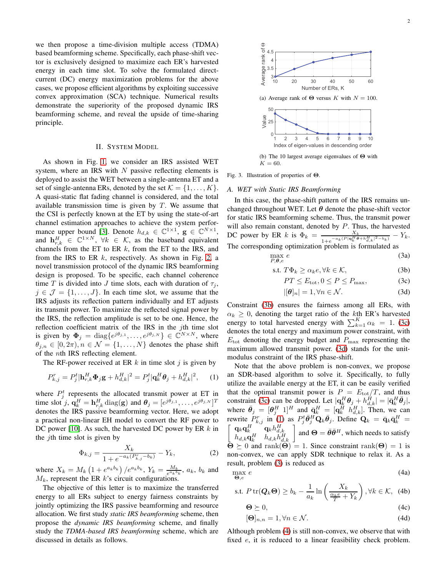we then propose a time-division multiple access (TDMA) based beamforming scheme. Specifically, each phase-shift vector is exclusively designed to maximize each ER's harvested energy in each time slot. To solve the formulated directcurrent (DC) energy maximization problems for the above cases, we propose efficient algorithms by exploiting successive convex approximation (SCA) technique. Numerical results demonstrate the superiority of the proposed dynamic IRS beamforming scheme, and reveal the upside of time-sharing principle.

#### II. SYSTEM MODEL

As shown in Fig. [1,](#page-0-0) we consider an IRS assisted WET system, where an IRS with  $N$  passive reflecting elements is deployed to assist the WET between a single-antenna ET and a set of single-antenna ERs, denoted by the set  $\mathcal{K} = \{1, \ldots, K\}.$ A quasi-static flat fading channel is considered, and the total available transmission time is given by  $T$ . We assume that the CSI is perfectly known at the ET by using the state-of-art channel estimation approaches to achieve the system perfor-mance upper bound [\[3\]](#page-4-2). Denote  $h_{d,k} \in \mathbb{C}^{1 \times 1}$ ,  $\mathbf{g} \in \mathbb{C}^{N \times 1}$ , and  $\mathbf{h}_{r,k}^H \in \mathbb{C}^{1 \times N}$ ,  $\forall k \in \mathcal{K}$ , as the baseband equivalent channels from the ET to ER  $k$ , from the ET to the IRS, and from the IRS to ER  $k$ , respectively. As shown in Fig. [2,](#page-0-1) a novel transmission protocol of the dynamic IRS beamforming design is proposed. To be specific, each channel coherence time T is divided into J time slots, each with duration of  $\tau_i$ ,  $j \in \mathcal{J} = \{1, \ldots, J\}$ . In each time slot, we assume that the IRS adjusts its reflection pattern individually and ET adjusts its transmit power. To maximize the reflected signal power by the IRS, the reflection amplitude is set to be one. Hence, the reflection coefficient matrix of the IRS in the jth time slot is given by  $\mathbf{\Phi}_j = \text{diag}\{e^{j\theta_{j,1}}, \dots, e^{j\theta_{j,N}}\} \in \mathbb{C}^{N \times N}$ , where  $\theta_{j,n} \in [0, 2\pi), n \in \mathcal{N} = \{1, \dots, N\}$  denotes the phase shift of the nth IRS reflecting element.

The RF-power received at ER  $k$  in time slot  $j$  is given by

$$
P_{k,j}^r = P_j^t |\mathbf{h}_{r,k}^H \mathbf{\Phi}_j \mathbf{g} + h_{d,k}^H|^2 = P_j^t |\mathbf{q}_k^H \mathbf{\theta}_j + h_{d,k}^H|^2, \quad (1)
$$

where  $P_j^t$  represents the allocated transmit power at ET in time slot j,  $\mathbf{q}_k^H = \mathbf{h}_{r,k}^H \text{diag}(\mathbf{g})$  and  $\boldsymbol{\theta}_j = [e^{j\theta_{j,1}}, \dots, e^{j\theta_{j,N}}]^T$ denotes the IRS passive beamforming vector. Here, we adopt a practical non-linear EH model to convert the RF power to DC power [\[10\]](#page-4-7). As such, the harvested DC power by ER  $k$  in the jth time slot is given by

$$
\Phi_{k,j} = \frac{X_k}{1 + e^{-a_k(P_{k,j}^r - b_k)}} - Y_k,\tag{2}
$$

where  $X_k = M_k \left( 1 + e^{a_k b_k} \right) / e^{a_k b_k}$ ,  $Y_k = \frac{M_k}{e^{a_k b_k}}$ ,  $a_k$ ,  $b_k$  and  $M_k$ , represent the ER  $k$ 's circuit configurations.

The objective of this letter is to maximize the transferred energy to all ERs subject to energy fairness constraints by jointly optimizing the IRS passive beamforming and resource allocation. We first study *static IRS beamforming* scheme, then propose the *dynamic IRS beamforming* scheme, and finally study the *TDMA-based IRS beamforming* scheme, which are discussed in details as follows.

<span id="page-1-4"></span>

<span id="page-1-5"></span>(b) The 10 largest average eigenvalues of Θ with  $K = 60.$ 

Fig. 3. Illustration of properties of Θ.

#### *A. WET with Static IRS Beamforming*

In this case, the phase-shift pattern of the IRS remains unchanged throughout WET. Let  $\theta$  denote the phase-shift vector for static IRS beamforming scheme. Thus, the transmit power will also remain constant, denoted by  $P$ . Thus, the harvested DC power by ER k is  $\Phi_k = \frac{X_k}{\sqrt{[n]}\prod_{i=1}^{k} P_i}$  $\frac{X_k}{1+e^{-a_k(P|{\bf q}_k^H{\boldsymbol \theta}+h_{d,k}^H|^2-b_k)}}-Y_k.$ The corresponding optimization problem is formulated as

$$
\max_{P,\theta,e} e \tag{3a}
$$

$$
\text{s.t. } T\Phi_k \ge \alpha_k e, \forall k \in \mathcal{K},\tag{3b}
$$

$$
PT \le E_{\text{tot}}, 0 \le P \le P_{\text{max}},\tag{3c}
$$

$$
|[\boldsymbol{\theta}]_n| = 1, \forall n \in \mathcal{N}.
$$
 (3d)

Constraint [\(3b\)](#page-1-0) ensures the fairness among all ERs, with  $\alpha_k \geq 0$ , denoting the target ratio of the kth ER's harvested energy to total harvested energy with  $\sum_{k=1}^{K} \alpha_k = 1$ . [\(3c\)](#page-1-1) denotes the total energy and maximum power constraint, with  $E_{\text{tot}}$  denoting the energy budget and  $P_{\text{max}}$  representing the maximum allowed transmit power. [\(3d\)](#page-1-2) stands for the unitmodulus constraint of the IRS phase-shift.

Note that the above problem is non-convex, we propose an SDR-based algorithm to solve it. Specifically, to fully utilize the available energy at the ET, it can be easily verified that the optimal transmit power is  $P = E_{\text{tot}}/T$ , and thus constraint [\(3c\)](#page-1-1) can be dropped. Let  $|\mathbf{q}_k^H \boldsymbol{\theta}_j + h_{d,k}^H| = |\bar{\mathbf{q}}_k^H \bar{\boldsymbol{\theta}}_j|$ , where  $\bar{\theta}_j = [\theta_j^H \ 1]^H$  and  $\bar{\mathbf{q}}_k^H = [\mathbf{q}_k^H \ \dot{h}_{d,k}^H]$ . Then, we can rewrite  $P_{k,j}^r$  in [\(1\)](#page-1-3) as  $P_j^t \bar{\theta}_j^H \mathbf{Q}_k \bar{\theta}_j$ . Define  $\mathbf{Q}_k = \bar{\mathbf{q}}_k \bar{\mathbf{q}}_k^H =$  $\begin{bmatrix} \mathbf{q}_k \mathbf{q}_k^H & \mathbf{q}_k h_{d,k}^H \\ h_{d,k} \mathbf{q}_k^H & h_{d,k} h_{d,k}^H \end{bmatrix}$  and  $\Theta = \bar{\theta} \bar{\theta}^H$ , which needs to satisfy  $\Theta \succeq 0$  and rank $(\Theta) = 1$ . Since constraint rank $(\Theta) = 1$  is non-convex, we can apply SDR technique to relax it. As a result, problem [\(3\)](#page-1-1) is reduced as

$$
\max_{\Theta, e} e \tag{4a}
$$

$$
\text{s.t. } P \operatorname{tr}(\mathbf{Q}_k \mathbf{\Theta}) \ge b_k - \frac{1}{a_k} \ln \left( \frac{X_k}{\frac{\alpha_k e}{T} + Y_k} \right), \forall k \in \mathcal{K}, \tag{4b}
$$

<span id="page-1-3"></span><span id="page-1-2"></span><span id="page-1-1"></span><span id="page-1-0"></span>
$$
\Theta \succeq 0,\tag{4c}
$$

$$
[\mathbf{\Theta}]_{n,n} = 1, \forall n \in \mathcal{N}.\tag{4d}
$$

Although problem [\(4\)](#page-1-2) is still non-convex, we observe that with fixed  $e$ , it is reduced to a linear feasibility check problem.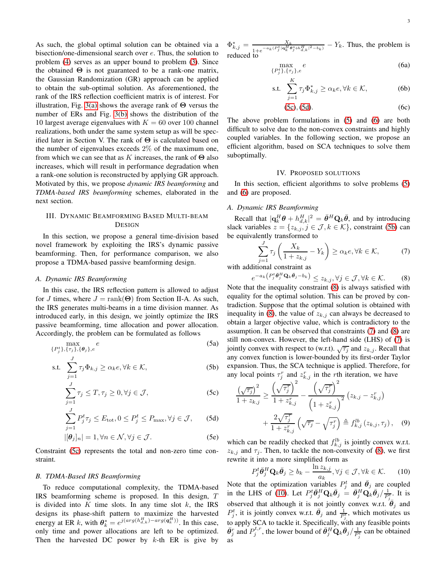As such, the global optimal solution can be obtained via a bisection/one-dimensional search over e. Thus, the solution to problem [\(4\)](#page-1-2) serves as an upper bound to problem [\(3\)](#page-1-1). Since the obtained  $\Theta$  is not guaranteed to be a rank-one matrix, the Gaussian Randomization (GR) approach can be applied to obtain the sub-optimal solution. As aforementioned, the rank of the IRS reflection coefficient matrix is of interest. For illustration, Fig. [3\(a\)](#page-1-4) shows the average rank of  $\Theta$  versus the number of ERs and Fig. [3\(b\)](#page-1-5) shows the distribution of the 10 largest average eigenvalues with  $K = 60$  over 100 channel realizations, both under the same system setup as will be specified later in Section V. The rank of  $\Theta$  is calculated based on the number of eigenvalues exceeds  $2\%$  of the maximum one, from which we can see that as K increases, the rank of  $\Theta$  also increases, which will result in performance degradation when a rank-one solution is reconstructed by applying GR approach. Motivated by this, we propose *dynamic IRS beamforming* and *TDMA-based IRS beamforming* schemes, elaborated in the next section.

# III. DYNAMIC BEAMFORMING BASED MULTI-BEAM **DESIGN**

In this section, we propose a general time-division based novel framework by exploiting the IRS's dynamic passive beamforming. Then, for performance comparison, we also propose a TDMA-based passive beamforming design.

## *A. Dynamic IRS Beamforming*

In this case, the IRS reflection pattern is allowed to adjust for J times, where  $J = \text{rank}(\Theta)$  from Section II-A. As such, the IRS generates multi-beams in a time division manner. As introduced early, in this design, we jointly optimize the IRS passive beamforming, time allocation and power allocation. Accordingly, the problem can be formulated as follows

$$
\max_{\{P_j^t\},\{\tau_j\},\{\boldsymbol{\theta}_j\},e} e \tag{5a}
$$

$$
\text{s.t.} \quad \sum_{j=1}^{J} \tau_j \Phi_{k,j} \ge \alpha_k e, \forall k \in \mathcal{K}, \tag{5b}
$$

$$
\sum_{j=1}^{J} \tau_j \le T, \tau_j \ge 0, \forall j \in \mathcal{J},
$$
\n(5c)

$$
\sum_{j=1}^{J} P_j^t \tau_j \le E_{\text{tot}}, 0 \le P_j^t \le P_{\text{max}}, \forall j \in \mathcal{J}, \qquad (5d)
$$

$$
|[\boldsymbol{\theta}_j]_n| = 1, \forall n \in \mathcal{N}, \forall j \in \mathcal{J}.
$$
 (5e)

Constraint [\(5c\)](#page-2-0) represents the total and non-zero time constraint.

### *B. TDMA-Based IRS Beamforming*

To reduce computational complexity, the TDMA-based IRS beamforming scheme is proposed. In this design, T is divided into  $K$  time slots. In any time slot  $k$ , the IRS designs its phase-shift pattern to maximize the harvested energy at ER k, with  $\theta_k^* = e^{j(\arg(h_{d,k}^H) - \arg(q_k^H))}$ . In this case, only time and power allocations are left to be optimized. Then the harvested DC power by  $k$ -th ER is give by  $\Phi_{k,j}^* = \frac{X_k}{1 + \frac{a_k (P_s^t) q_L^H 6}$  $\frac{X_k}{1+e^{-a_k(P_j^t|{\bf q}_k^H{\boldsymbol{\theta}}_j^*+h_{d,k}^H|^2-b_k)}}-Y_k$ . Thus, the problem is reduced to

<span id="page-2-3"></span>
$$
\max_{\{P_j^t\},\{\tau_j\},e} e \tag{6a}
$$

$$
\text{s.t. } \sum_{j=1}^{K} \tau_j \Phi_{k,j}^* \ge \alpha_k e, \forall k \in \mathcal{K}, \tag{6b}
$$

<span id="page-2-4"></span><span id="page-2-0"></span>
$$
(5c), (5d). \t(6c)
$$

The above problem formulations in [\(5\)](#page-2-2) and [\(6\)](#page-2-3) are both difficult to solve due to the non-convex constraints and highly coupled variables. In the following section, we propose an efficient algorithm, based on SCA techniques to solve them suboptimally.

#### IV. PROPOSED SOLUTIONS

In this section, efficient algorithms to solve problems [\(5\)](#page-2-2) and [\(6\)](#page-2-3) are proposed.

## *A. Dynamic IRS Beamforming*

Recall that  $|\mathbf{q}_k^H \boldsymbol{\theta} + h_{d,k}^H|^2 = \bar{\boldsymbol{\theta}}^H \mathbf{Q}_k \bar{\boldsymbol{\theta}}$ , and by introducing slack variables  $z = \{z_{k,j}, j \in \mathcal{J}, k \in \mathcal{K}\}\)$ , constraint [\(5b\)](#page-2-4) can be equivalently transformed to

<span id="page-2-6"></span><span id="page-2-5"></span>
$$
\sum_{j=1}^{J} \tau_j \left( \frac{X_k}{1 + z_{k,j}} - Y_k \right) \ge \alpha_k e, \forall k \in \mathcal{K},\tag{7}
$$

with additional constraint as

$$
e^{-a_k\left(P_j^t\bar{\boldsymbol{\theta}}_j^H\mathbf{Q}_k\bar{\boldsymbol{\theta}}_j-b_k\right)} \leq z_{k,j}, \forall j \in \mathcal{J}, \forall k \in \mathcal{K}.
$$
 (8)

Note that the inequality constraint [\(8\)](#page-2-5) is always satisfied with equality for the optimal solution. This can be proved by contradiction. Suppose that the optimal solution is obtained with inequality in [\(8\)](#page-2-5), the value of  $z_{k,j}$  can always be decreased to obtain a larger objective value, which is contradictory to the assumption. It can be observed that constraints [\(7\)](#page-2-6) and [\(8\)](#page-2-5) are still non-convex. However, the left-hand side (LHS) of [\(7\)](#page-2-6) is jointly convex with respect to (w.r.t).  $\sqrt{\tau_j}$  and  $z_{k,j}$ . Recall that any convex function is lower-bounded by its first-order Taylor expansion. Thus, the SCA technique is applied. Therefore, for any local points  $\tau_j^r$  and  $z_{k,j}^r$  in the rth iteration, we have

$$
\frac{\left(\sqrt{\tau_j}\right)^2}{1+z_{k,j}} \ge \frac{\left(\sqrt{\tau_j^r}\right)^2}{1+z_{k,j}^r} - \frac{\left(\sqrt{\tau_j^r}\right)^2}{\left(1+z_{k,j}^r\right)^2} \left(z_{k,j}-z_{k,j}^r\right) + \frac{2\sqrt{\tau_j^r}}{1+z_{k,j}^r} \left(\sqrt{\tau_j} - \sqrt{\tau_j^r}\right) \triangleq f_{k,j}^{lb} \left(z_{k,j},\tau_j\right), \quad (9)
$$

<span id="page-2-2"></span><span id="page-2-1"></span>which can be readily checked that  $f_{k,j}^{lb}$  is jointly convex w.r.t.  $z_{k,j}$  and  $\tau_j$ . Then, to tackle the non-convexity of [\(8\)](#page-2-5), we first rewrite it into a more simplified form as

<span id="page-2-7"></span>
$$
P_j^t \bar{\theta}_j^H \mathbf{Q}_k \bar{\theta}_j \ge b_k - \frac{\ln z_{k,j}}{a_k}, \forall j \in \mathcal{J}, \forall k \in \mathcal{K}.
$$
 (10)

Note that the optimization variables  $P_j^t$  and  $\bar{\theta}_j$  are coupled in the LHS of [\(10\)](#page-2-7). Let  $P_j^t \bar{\theta}_j^H \mathbf{Q}_k \bar{\theta}_j = \bar{\theta}_j^H \mathbf{Q}_k \bar{\theta}_j / \frac{1}{P_{j-}^t}$ . It is observed that although it is not jointly convex w.r.t.  $\overline{\theta}_j$  and  $P_j^t$ , it is jointly convex w.r.t.  $\bar{\theta}_j$  and  $\frac{1}{P_i^t}$ , which motivates us to apply SCA to tackle it. Specifically, with any feasible points  $\bar{\theta}_j^r$  and  $P_j^{t,r}$ , the lower bound of  $\bar{\theta}_j^H \mathbf{Q}_k \bar{\theta}_j / \frac{1}{P_j^t}$  can be obtained as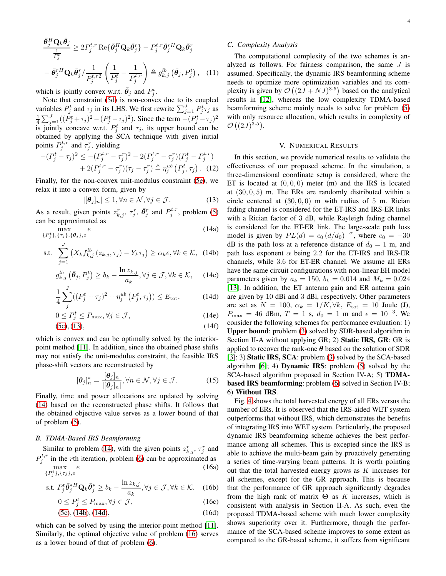$$
\frac{\bar{\theta}_{j}^{H} \mathbf{Q}_{k} \bar{\theta}_{j}}{\frac{1}{P_{j}^{t}}} \geq 2 P_{j}^{t,r} \operatorname{Re} \{ \bar{\theta}_{j}^{H} \mathbf{Q}_{k} \bar{\theta}_{j}^{r} \} - P_{j}^{t,r} \bar{\theta}_{j}^{rH} \mathbf{Q}_{k} \bar{\theta}_{j}^{r}
$$
\n
$$
- \bar{\theta}_{j}^{rH} \mathbf{Q}_{k} \bar{\theta}_{j}^{r} / \frac{1}{P_{j}^{t,r2}} \left( \frac{1}{P_{j}^{t}} - \frac{1}{P_{j}^{t,r}} \right) \triangleq g_{k,j}^{lb} \left( \bar{\theta}_{j}, P_{j}^{t} \right), \quad (11)
$$

which is jointly convex w.r.t.  $\bar{\theta}_j$  and  $P_j^t$ .

Note that constraint [\(5d\)](#page-2-1) is non-convex due to its coupled variables  $P_j^t$  and  $\tau_j$  in its LHS. We first rewrite  $\sum_{j=1}^J P_j^t \tau_j$  as  $\frac{1}{4} \sum_{j=1}^{J} ((P_j^t + \tau_j)^2 - (P_j^t - \tau_j)^2)$ . Since the term  $-(P_j^t - \tau_j)^2$ is jointly concave w.r.t.  $P_j^t$  and  $\tau_j$ , its upper bound can be obtained by applying the SCA technique with given initial points  $P_j^{t,r}$  and  $\tau_j^r$ , yielding

$$
-(P_j^t - \tau_j)^2 \leq -(P_j^{t,r} - \tau_j^r)^2 - 2(P_j^{t,r} - \tau_j^r)(P_j^t - P_j^{t,r}) + 2(P_j^{t,r} - \tau_j^r)(\tau_j - \tau_j^r) \triangleq \eta_j^{ub} (P_j^t, \tau_j).
$$
 (12)

Finally, for the non-convex unit-modulus constraint [\(5e\)](#page-2-2), we relax it into a convex form, given by

<span id="page-3-1"></span><span id="page-3-0"></span>
$$
|[\boldsymbol{\theta}_j]_n| \le 1, \forall n \in \mathcal{N}, \forall j \in \mathcal{J}.
$$
 (13)

As a result, given points  $z_{k,j}^r$ ,  $\bar{\theta}_j^r$ , and  $P_j^{t,r}$ , problem [\(5\)](#page-2-2) can be approximated as

$$
\max_{\{P_j^t\},\{\tau_j\},\{\boldsymbol{\theta}_j\},e} e
$$
\n(14a)

s.t. 
$$
\sum_{j=1} \left( X_k f_{k,j}^{lb} \left( z_{k,j}, \tau_j \right) - Y_k \tau_j \right) \ge \alpha_k e, \forall k \in \mathcal{K}, \quad (14b)
$$

$$
g_{k,j}^{lb} \left( \bar{\theta}_j, P_j^t \right) \ge b_k - \frac{\ln z_{k,j}}{a_k}, \forall j \in \mathcal{J}, \forall k \in \mathcal{K}, \quad (14c)
$$

$$
\frac{1}{4} \sum_{j}^{J} ((P_j^t + \tau_j)^2 + \eta_j^{ub} (P_j^t, \tau_j)) \le E_{\text{tot}},
$$
\n(14d)

$$
0 \le P_j^t \le P_{\text{max}}, \forall j \in \mathcal{J}, \tag{14e}
$$

$$
(5c), (13), \tag{14f}
$$

which is convex and can be optimally solved by the interiorpoint method [\[11\]](#page-4-8). In addition, since the obtained phase shifts may not satisfy the unit-modulus constraint, the feasible IRS phase-shift vectors are reconstructed by

$$
[\boldsymbol{\theta}_j]_n^* = \frac{[\boldsymbol{\theta}_j]_n}{|[\boldsymbol{\theta}_j]_n|}, \forall n \in \mathcal{N}, \forall j \in \mathcal{J}.
$$
 (15)

Finally, time and power allocations are updated by solving [\(14\)](#page-3-1) based on the reconstructed phase shifts. It follows that the obtained objective value serves as a lower bound of that of problem [\(5\)](#page-2-2).

## *B. TDMA-Based IRS Beamforming*

Similar to problem [\(14\)](#page-3-1), with the given points  $z_{k,j}^r$ ,  $\tau_j^r$  and  $P_j^{t,r}$  in the rth iteration, problem [\(6\)](#page-2-3) can be approximated as  $\max_{\{P_j^t\},\{\tau_j\},e}$  $(16a)$ 

s.t. 
$$
P_j^t \bar{\theta}_j^{*H} \mathbf{Q}_k \bar{\theta}_j^* \ge b_k - \frac{\ln z_{k,j}}{a_k}, \forall j \in \mathcal{J}, \forall k \in \mathcal{K}.
$$
 (16b)

$$
0 \le P_j^t \le P_{\text{max}}, \forall j \in \mathcal{J},\tag{16c}
$$

$$
(5c), (14b), (14d), \tag{16d}
$$

which can be solved by using the interior-point method [\[11\]](#page-4-8). Similarly, the optimal objective value of problem [\(16\)](#page-3-4) serves as a lower bound of that of problem [\(6\)](#page-2-3).

## *C. Complexity Analysis*

The computational complexity of the two schemes is analyzed as follows. For fairness comparison, the same J is assumed. Specifically, the dynamic IRS beamforming scheme needs to optimize more optimization variables and its complexity is given by  $\mathcal{O}\left((2J + NJ)^{3.5}\right)$  based on the analytical results in [\[12\]](#page-4-9), whereas the low complexity TDMA-based beamforming scheme mainly needs to solve for problem [\(5\)](#page-2-2) with only resource allocation, which results in complexity of  $\mathcal{O}\left((2J)^{3.5}\right)$ .

#### V. NUMERICAL RESULTS

In this section, we provide numerical results to validate the effectiveness of our proposed scheme. In the simulation, a three-dimensional coordinate setup is considered, where the ET is located at  $(0, 0, 0)$  meter (m) and the IRS is located at  $(30, 0, 5)$  m. The ERs are randomly distributed within a circle centered at  $(30, 0, 0)$  m with radius of 5 m. Rician fading channel is considered for the ET-IRS and IRS-ER links with a Rician factor of 3 dB, while Rayleigh fading channel is considered for the ET-ER link. The large-scale path loss model is given by  $PL(d) = c_0 (d/d_0)^{-\alpha}$ , where  $c_0 = -30$ dB is the path loss at a reference distance of  $d_0 = 1$  m, and path loss exponent  $\alpha$  being 2.2 for the ET-IRS and IRS-ER channels, while 3.6 for ET-ER channel. We assume all ERs have the same circuit configurations with non-linear EH model parameters given by  $a_k = 150$ ,  $b_k = 0.014$  and  $M_k = 0.024$ [\[13\]](#page-4-10). In addition, the ET antenna gain and ER antenna gain are given by 10 dBi and 3 dBi, respectively. Other parameters are set as  $N = 100$ ,  $\alpha_k = 1/K, \forall k$ ,  $E_{\text{tot}} = 10$  Joule (J),  $P_{\text{max}} = 46$  dBm,  $T = 1$  s,  $d_0 = 1$  m and  $\epsilon = 10^{-3}$ . We consider the following schemes for performance evaluation: 1) Upper bound: problem [\(3\)](#page-1-1) solved by SDR-based algorithm in Section II-A without applying GR; 2) **Static IRS, GR**: GR is applied to recover the rank-one  $\theta$  based on the solution of SDR [\[3\]](#page-4-2); 3) Static IRS, SCA: problem [\(3\)](#page-1-1) solved by the SCA-based algorithm  $[6]$ ; 4) **Dynamic IRS**: problem  $(5)$  solved by the SCA-based algorithm proposed in Section IV-A; 5) TDMAbased IRS beamforming: problem [\(6\)](#page-2-3) solved in Section IV-B; 6) Without IRS.

<span id="page-3-4"></span><span id="page-3-3"></span><span id="page-3-2"></span>Fig. [4](#page-4-11) shows the total harvested energy of all ERs versus the number of ERs. It is observed that the IRS-aided WET system outperforms that without IRS, which demonstrates the benefits of integrating IRS into WET system. Particularly, the proposed dynamic IRS beamforming scheme achieves the best performance among all schemes. This is excepted since the IRS is able to achieve the multi-beam gain by proactively generating a series of time-varying beam patterns. It is worth pointing out that the total harvested energy grows as K increases for all schemes, except for the GR approach. This is because that the performance of GR approach significantly degrades from the high rank of matrix  $\Theta$  as K increases, which is consistent with analysis in Section II-A. As such, even the proposed TDMA-based scheme with much lower complexity shows superiority over it. Furthermore, though the performance of the SCA-based scheme improves to some extent as compared to the GR-based scheme, it suffers from significant